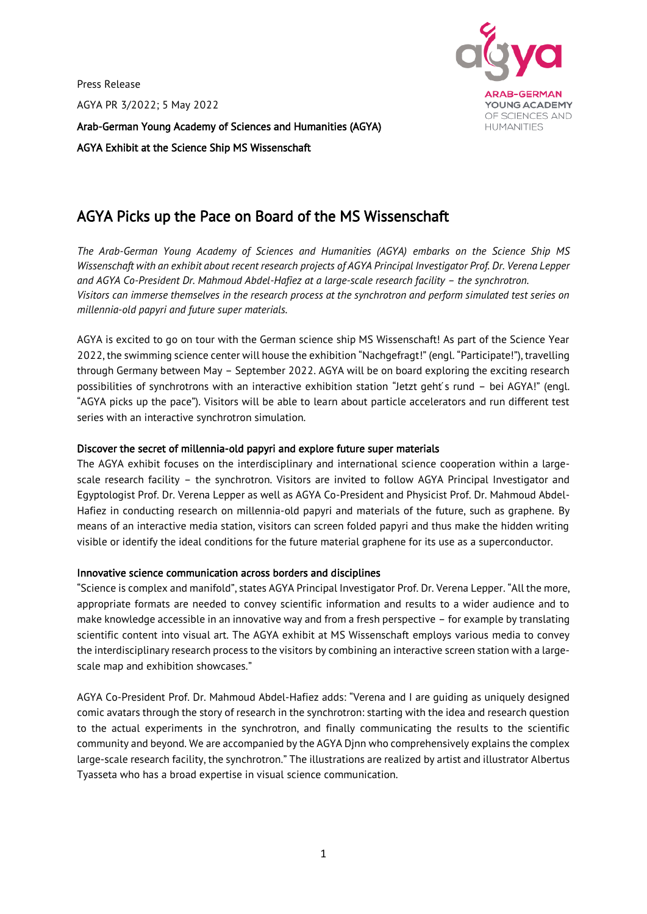Press Release AGYA PR 3/2022; 5 May 2022 Arab-German Young Academy of Sciences and Humanities (AGYA)

AGYA Exhibit at the Science Ship MS Wissenschaft



# AGYA Picks up the Pace on Board of the MS Wissenschaft

*The Arab-German Young Academy of Sciences and Humanities (AGYA) embarks on the Science Ship MS Wissenschaft with an exhibit about recent research projects of AGYA Principal Investigator Prof. Dr. Verena Lepper*  and AGYA Co-President Dr. Mahmoud Abdel-Hafiez at a large-scale research facility – the synchrotron. *Visitors can immerse themselves in the research process at the synchrotron and perform simulated test series on millennia-old papyri and future super materials.*

AGYA is excited to go on tour with the German science ship MS Wissenschaft! As part of the Science Year 2022, the swimming science center will house the exhibition "Nachgefragt!" (engl. "Participate!"), travelling through Germany between May – September 2022. AGYA will be on board exploring the exciting research possibilities of synchrotrons with an interactive exhibition station "Jetzt geht's rund - bei AGYA!" (engl. "AGYA picks up the pace"). Visitors will be able to learn about particle accelerators and run different test series with an interactive synchrotron simulation.

# Discover the secret of millennia-old papyri and explore future super materials

The AGYA exhibit focuses on the interdisciplinary and international science cooperation within a largescale research facility – the synchrotron. Visitors are invited to follow AGYA Principal Investigator and Egyptologist Prof. Dr. Verena Lepper as well as AGYA Co-President and Physicist Prof. Dr. Mahmoud Abdel-Hafiez in conducting research on millennia-old papyri and materials of the future, such as graphene. By means of an interactive media station, visitors can screen folded papyri and thus make the hidden writing visible or identify the ideal conditions for the future material graphene for its use as a superconductor.

## Innovative science communication across borders and disciplines

"Science is complex and manifold", states AGYA Principal Investigator Prof. Dr. Verena Lepper. "All the more, appropriate formats are needed to convey scientific information and results to a wider audience and to make knowledge accessible in an innovative way and from a fresh perspective – for example by translating scientific content into visual art. The AGYA exhibit at MS Wissenschaft employs various media to convey the interdisciplinary research process to the visitors by combining an interactive screen station with a largescale map and exhibition showcases."

AGYA Co-President Prof. Dr. Mahmoud Abdel-Hafiez adds: "Verena and I are guiding as uniquely designed comic avatars through the story of research in the synchrotron: starting with the idea and research question to the actual experiments in the synchrotron, and finally communicating the results to the scientific community and beyond. We are accompanied by the AGYA Djnn who comprehensively explains the complex large-scale research facility, the synchrotron." The illustrations are realized by artist and illustrator Albertus Tyasseta who has a broad expertise in visual science communication.